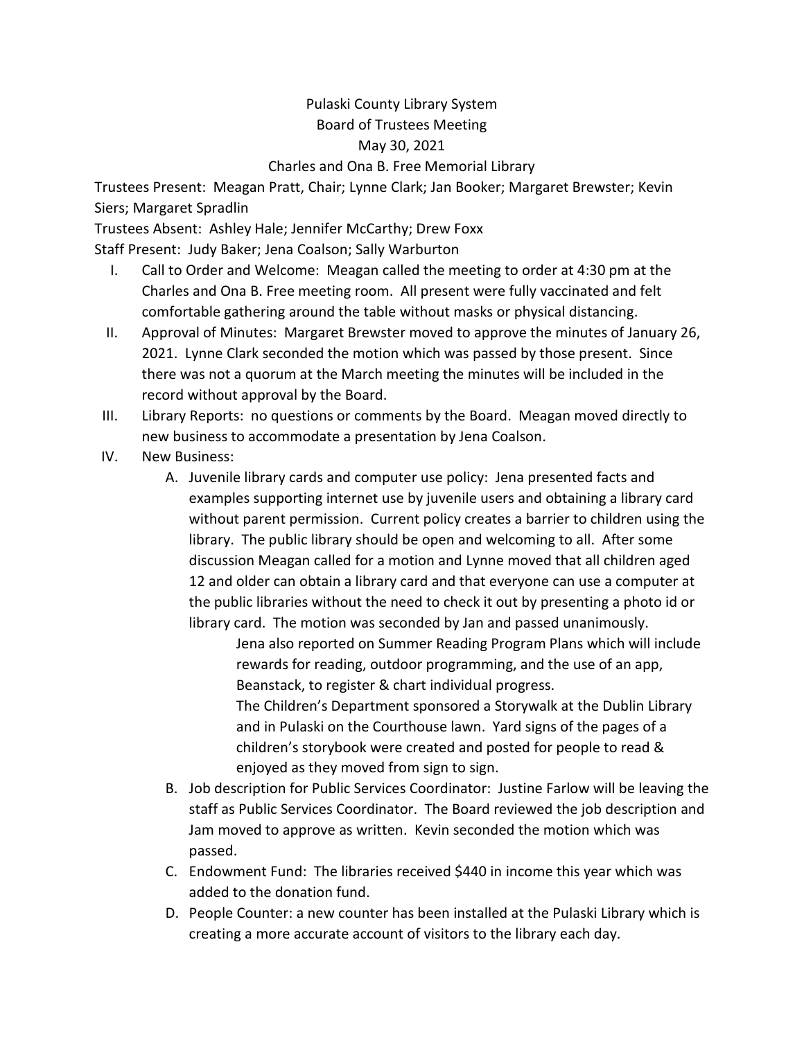## Pulaski County Library System Board of Trustees Meeting May 30, 2021 Charles and Ona B. Free Memorial Library

Trustees Present: Meagan Pratt, Chair; Lynne Clark; Jan Booker; Margaret Brewster; Kevin Siers; Margaret Spradlin

Trustees Absent: Ashley Hale; Jennifer McCarthy; Drew Foxx Staff Present: Judy Baker; Jena Coalson; Sally Warburton

- I. Call to Order and Welcome: Meagan called the meeting to order at 4:30 pm at the Charles and Ona B. Free meeting room. All present were fully vaccinated and felt comfortable gathering around the table without masks or physical distancing.
- II. Approval of Minutes: Margaret Brewster moved to approve the minutes of January 26, 2021. Lynne Clark seconded the motion which was passed by those present. Since there was not a quorum at the March meeting the minutes will be included in the record without approval by the Board.
- III. Library Reports: no questions or comments by the Board. Meagan moved directly to new business to accommodate a presentation by Jena Coalson.
- IV. New Business:
	- A. Juvenile library cards and computer use policy: Jena presented facts and examples supporting internet use by juvenile users and obtaining a library card without parent permission. Current policy creates a barrier to children using the library. The public library should be open and welcoming to all. After some discussion Meagan called for a motion and Lynne moved that all children aged 12 and older can obtain a library card and that everyone can use a computer at the public libraries without the need to check it out by presenting a photo id or library card. The motion was seconded by Jan and passed unanimously.

Jena also reported on Summer Reading Program Plans which will include rewards for reading, outdoor programming, and the use of an app, Beanstack, to register & chart individual progress.

The Children's Department sponsored a Storywalk at the Dublin Library and in Pulaski on the Courthouse lawn. Yard signs of the pages of a children's storybook were created and posted for people to read & enjoyed as they moved from sign to sign.

- B. Job description for Public Services Coordinator: Justine Farlow will be leaving the staff as Public Services Coordinator. The Board reviewed the job description and Jam moved to approve as written. Kevin seconded the motion which was passed.
- C. Endowment Fund: The libraries received \$440 in income this year which was added to the donation fund.
- D. People Counter: a new counter has been installed at the Pulaski Library which is creating a more accurate account of visitors to the library each day.